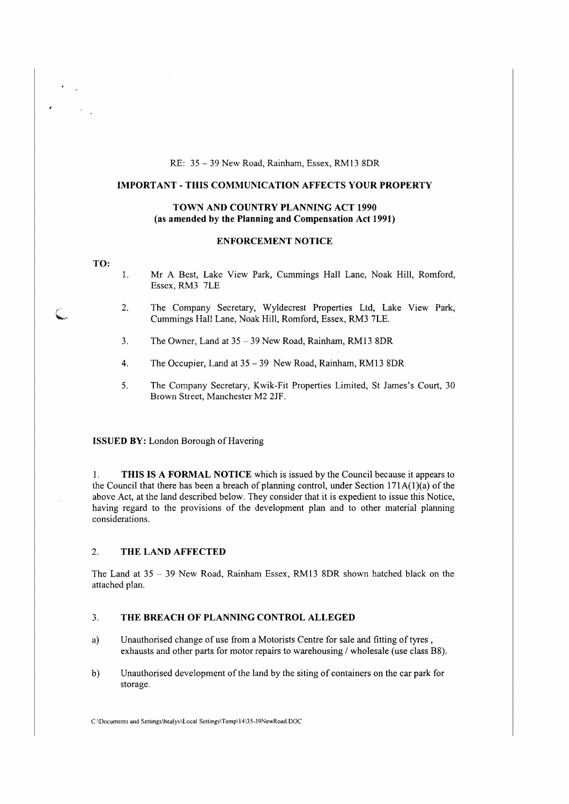## RE: 35 - 39 New Road, Rainham, Essex, RM13 8DR

## **IMPORTANT-THIS COMMUNICATION AFFECTS YOUR PROPERTY**

## **TOWN AND COUNTRY PLANNING ACT** 1990 **(as amended by the Planning and Compensation Act 1991)**

### **ENFORCEMENT NOTICE**

#### **TO:**

- 1. Mr A Best, Lake View Park, Cummings Hall Lane, Noak Hill, Romford, Essex, RM3 7LE
- 2. The Company Secretary, Wyldecrest Properties Ltd, Lake View Park, Cummings Hall Lane, Noak Hill, Romford, Essex, RM3 7LE.
- 3. The Owner, Land at 35 39 New Road, Rainham, RM13 8DR
- 4. The Occupier, Land at 35 39 New Road, Rainham, RM13 SDR
- 5. The Company Secretary, Kwik-Fit Properties Limited, St James's Court, 30 Brown Street, Manchester M2 2JF.

### **ISSUED BY:** London Borough of Havering

1. **THIS IS A FORMAL NOTICE** which is issued by the Council because it appears to the Council that there has been a breach of planning control, under Section  $171A(1)(a)$  of the above Act, at the land described below. They consider that it is expedient to issue this Notice, having regard to the provisions of the development plan and to other material planning considerations.

# 2. **THE LAND AFFECTED**

The Land at 35 - 39 New Road. Rainham Essex, RM13 8DR shown hatched black on the attached plan.

## 3. **THE BREACH OF PLANNING CONTROL ALLEGED**

- a) Unauthorised change of use from a Motorists Centre for sale and fitting of tyres, exhausts and other parts for motor repairs to warehousing/ wholesale (use class B8).
- b) Unauthorised development of the land by the siting of containers on the car park for storage.

C:\Documents and Settingslhealyvltocal SetlingslTemp\14\35-39NewRoad.DOC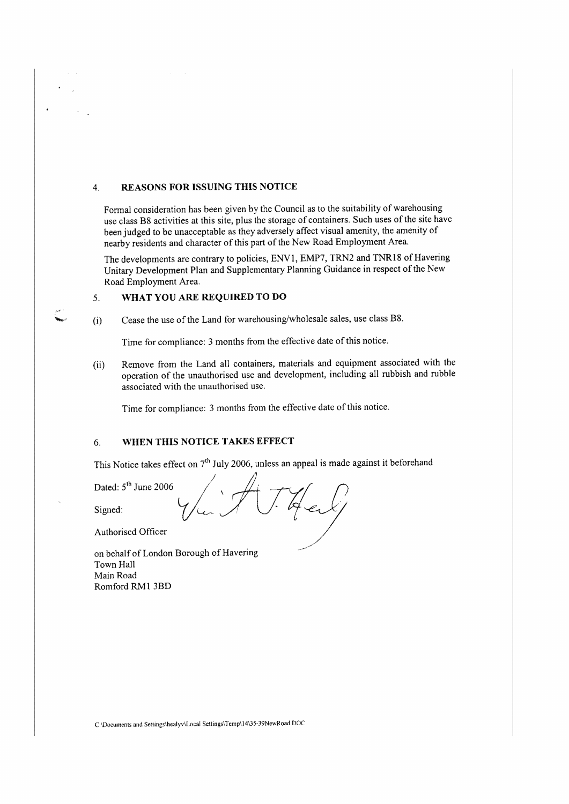# 4. **REASONS FOR ISSUING THIS NOTICE**

Formal consideration has been given by the Council as to the suitability of warehousing use class B8 activities at this site, plus the storage of containers. Such uses of the site have been judged to be unacceptable as they adversely affect visual amenity, the amenity of nearby residents and character of this part of the New Road Employment Area.

The developments are contrary to policies, ENVl, EMP7, TRN2 and TNR18 of Havering Unitary Development Plan and Supplementary Planning Guidance in respect of the New Road Employment Area.

# 5. **WHAT YOU ARE REQUIRED TO DO**

(i) Cease the use of the Land for warehousing/wholesale sales, use class B8.

Time for compliance: 3 months from the effective date of this notice.

(ii) Remove from the Land all containers, materials and equipment associated with the operation of the unauthorised use and development, including all rubbish and rubble associated with the unauthorised use.

Time for compliance: 3 months from the effective date of this notice.

# 6. **WHEN THIS NOTICE TAKES EFFECT**

This Notice takes effect on 7<sup>th</sup> July 2006, unless an appeal is made against it beforehand

Dated:  $5<sup>th</sup>$  June 2006

Signed: *value 2000*  $\sqrt{\mu}$  / [/ ]  $\frac{1}{2}$  end j

Authorised Officer

on behalf of London Borough of Havering Town Hall Main Road Romford RM1 3BD

C \Documents and Setlings\healyv\Local Settings\Temp\l4135-39NewRoad.DOC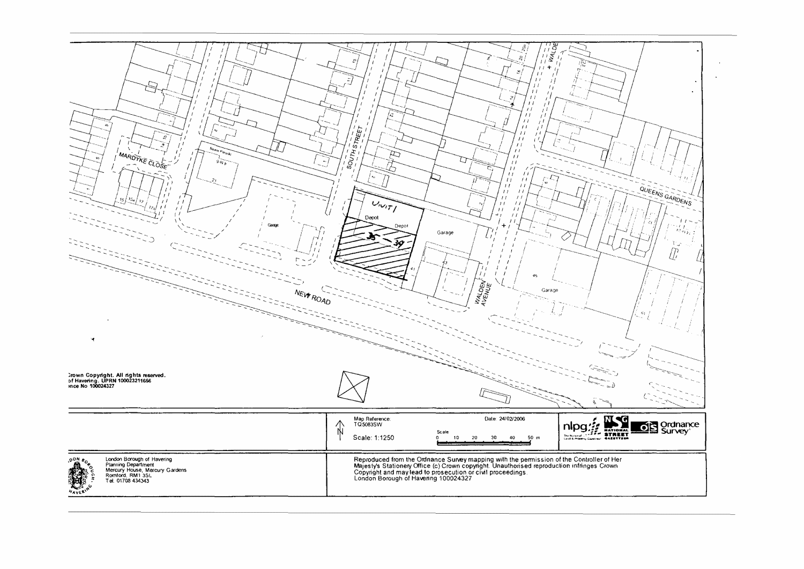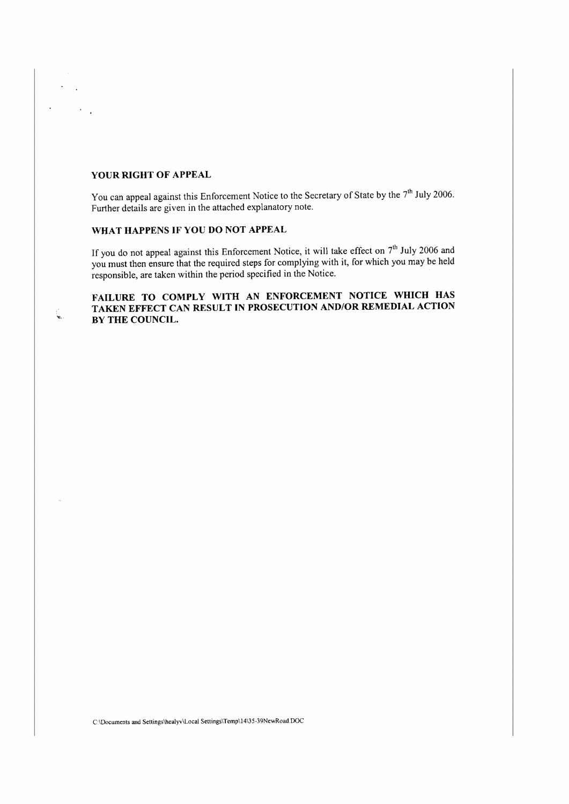## **YOUR RIGHT OF APPEAL**

You can appeal against this Enforcement Notice to the Secretary of State by the 7<sup>th</sup> July 2006. Further details are given in the attached explanatory note.

# **WHAT HAPPENS IF YOU DO NOT APPEAL**

If you do not appeal against this Enforcement Notice, it will take effect on *th* July 2006 and you must then ensure that the required steps for complying with it, for which you may be held responsible, are taken within the period specified in the Notice.

# **FAILURE TO COMPLY WITH AN ENFORCEMENT NOTICE WHICH HAS TAKEN EFFECT CAN RESULT JN PROSECUTION AND/OR REMEDIAL ACTION BY THE COUNCIL.**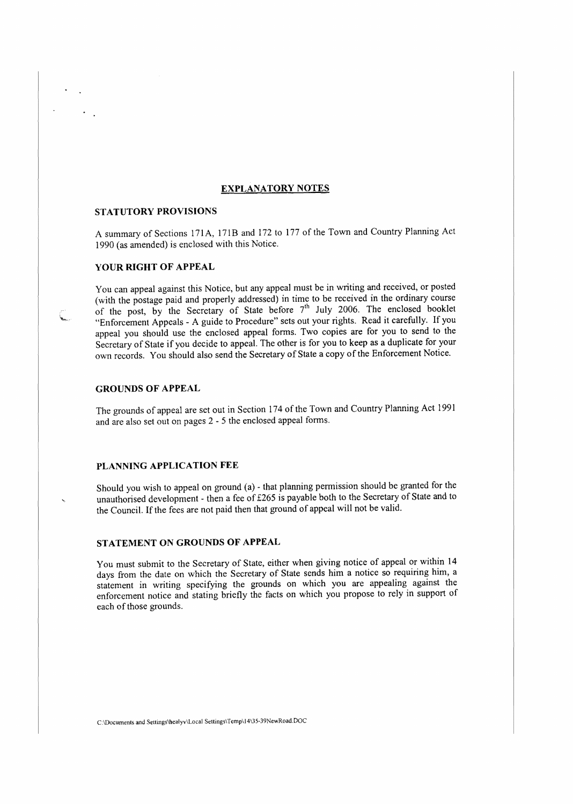## **EXPLANATORY NOTES**

### **STATUTORY PROVISIONS**

A summary of Sections 171A, 171B and 172 to 177 of the Town and Country Planning Act 1990 ( **as** amended) is enclosed with this Notice.

## **YOUR RIGHT OF APPEAL**

You can appeal against this Notice, but any appeal must be in writing and received, or posted (with the postage paid and properly addressed) in time to be received in the ordinary course of the post, by the Secretary of State before  $7<sup>th</sup>$  July 2006. The enclosed booklet "Enforcement Appeals - A guide to Procedure" sets out your rights. Read it carefully. If you appeal you should use the enclosed appeal forms. Two copies are for you to send to the Secretary of State if you decide to appeal. The other is for you to keep as a duplicate for your own records. You should also send the Secretary of State a copy of the Enforcement Notice.

## **GROUNDS OF APPEAL**

The grounds of appeal are set out in Section 174 of the Town and Country Planning Act 1991 and are also set out on pages 2 - 5 the enclosed appeal forms.

## **PLANNING APPLICATION FEE**

Should you wish to appeal on ground (a) - that planning permission should be granted for the unauthorised development - then a fee of £265 is payable both to the Secretary of State and to the Council. If the fees are not paid then that ground of appeal will not be valid.

## **STATEMENT ON GROUNDS OF APPEAL**

You must submit to the Secretary of State, either when giving notice of appeal or within 14 days from the date on which the Secretary of State sends him a notice so requiring him, a statement in writing specifying the grounds on which you are appealing against the enforcement notice and stating briefly the facts on which you propose to rely in support of each of those grounds.

C:\Documents and Settings\healyv\Local SettingslTemp\14IJ5-39NewRoad.DOC